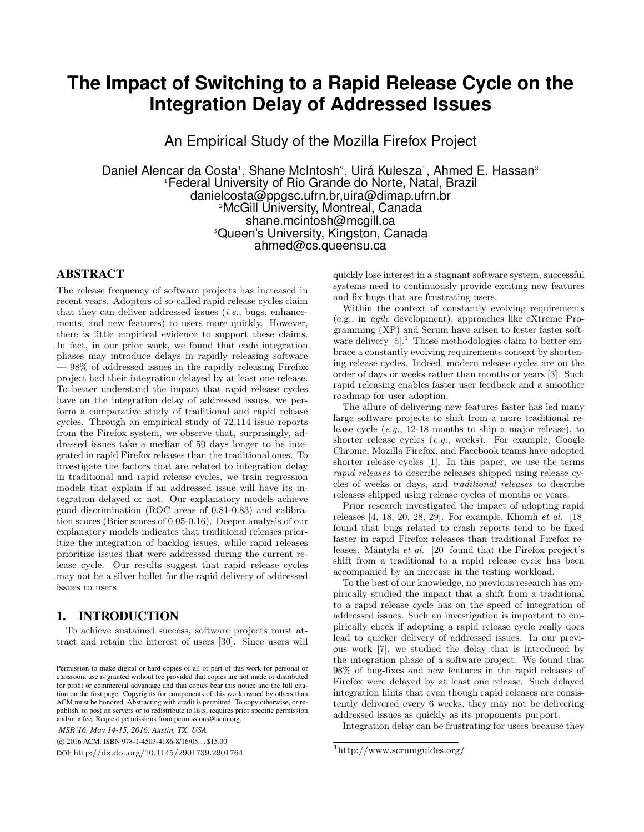# **The Impact of Switching to a Rapid Release Cycle on the Integration Delay of Addressed Issues**

An Empirical Study of the Mozilla Firefox Project

Daniel Alencar da Costa<sup>1</sup>, Shane McIntosh<sup>2</sup>, Uirá Kulesza<sup>1</sup>, Ahmed E. Hassan<sup>3</sup> <sup>1</sup>Federal University of Rio Grande do Norte, Natal, Brazil danielcosta@ppgsc.ufrn.br,uira@dimap.ufrn.br <sup>2</sup>McGill University, Montreal, Canada shane.mcintosh@mcgill.ca <sup>3</sup>Queen's University, Kingston, Canada ahmed@cs.queensu.ca

## ABSTRACT

The release frequency of software projects has increased in recent years. Adopters of so-called rapid release cycles claim that they can deliver addressed issues  $(i.e.,$  bugs, enhancements, and new features) to users more quickly. However, there is little empirical evidence to support these claims. In fact, in our prior work, we found that code integration phases may introduce delays in rapidly releasing software — 98% of addressed issues in the rapidly releasing Firefox project had their integration delayed by at least one release. To better understand the impact that rapid release cycles have on the integration delay of addressed issues, we perform a comparative study of traditional and rapid release cycles. Through an empirical study of 72,114 issue reports from the Firefox system, we observe that, surprisingly, addressed issues take a median of 50 days longer to be integrated in rapid Firefox releases than the traditional ones. To investigate the factors that are related to integration delay in traditional and rapid release cycles, we train regression models that explain if an addressed issue will have its integration delayed or not. Our explanatory models achieve good discrimination (ROC areas of 0.81-0.83) and calibration scores (Brier scores of 0.05-0.16). Deeper analysis of our explanatory models indicates that traditional releases prioritize the integration of backlog issues, while rapid releases prioritize issues that were addressed during the current release cycle. Our results suggest that rapid release cycles may not be a silver bullet for the rapid delivery of addressed issues to users.

## 1. INTRODUCTION

To achieve sustained success, software projects must attract and retain the interest of users [30]. Since users will

*MSR'16, May 14-15, 2016, Austin, TX, USA*

c 2016 ACM. ISBN 978-1-4503-4186-8/16/05. . . \$15.00

DOI: http://dx.doi.org/10.1145/2901739.2901764

quickly lose interest in a stagnant software system, successful systems need to continuously provide exciting new features and fix bugs that are frustrating users.

Within the context of constantly evolving requirements (e.g., in agile development), approaches like eXtreme Programming (XP) and Scrum have arisen to foster faster software delivery  $[5]$ <sup>1</sup>. Those methodologies claim to better embrace a constantly evolving requirements context by shortening release cycles. Indeed, modern release cycles are on the order of days or weeks rather than months or years [3]. Such rapid releasing enables faster user feedback and a smoother roadmap for user adoption.

The allure of delivering new features faster has led many large software projects to shift from a more traditional release cycle (e.g., 12-18 months to ship a major release), to shorter release cycles (e.g., weeks). For example, Google Chrome, Mozilla Firefox, and Facebook teams have adopted shorter release cycles [1]. In this paper, we use the terms rapid releases to describe releases shipped using release cycles of weeks or days, and traditional releases to describe releases shipped using release cycles of months or years.

Prior research investigated the impact of adopting rapid releases  $[4, 18, 20, 28, 29]$ . For example, Khomh *et al.*  $[18]$ found that bugs related to crash reports tend to be fixed faster in rapid Firefox releases than traditional Firefox releases. Mäntylä et al.  $[20]$  found that the Firefox project's shift from a traditional to a rapid release cycle has been accompanied by an increase in the testing workload.

To the best of our knowledge, no previous research has empirically studied the impact that a shift from a traditional to a rapid release cycle has on the speed of integration of addressed issues. Such an investigation is important to empirically check if adopting a rapid release cycle really does lead to quicker delivery of addressed issues. In our previous work [7], we studied the delay that is introduced by the integration phase of a software project. We found that 98% of bug-fixes and new features in the rapid releases of Firefox were delayed by at least one release. Such delayed integration hints that even though rapid releases are consistently delivered every 6 weeks, they may not be delivering addressed issues as quickly as its proponents purport.

Integration delay can be frustrating for users because they

Permission to make digital or hard copies of all or part of this work for personal or classroom use is granted without fee provided that copies are not made or distributed for profit or commercial advantage and that copies bear this notice and the full citation on the first page. Copyrights for components of this work owned by others than ACM must be honored. Abstracting with credit is permitted. To copy otherwise, or republish, to post on servers or to redistribute to lists, requires prior specific permission and/or a fee. Request permissions from permissions@acm.org.

<sup>1</sup>http://www.scrumguides.org/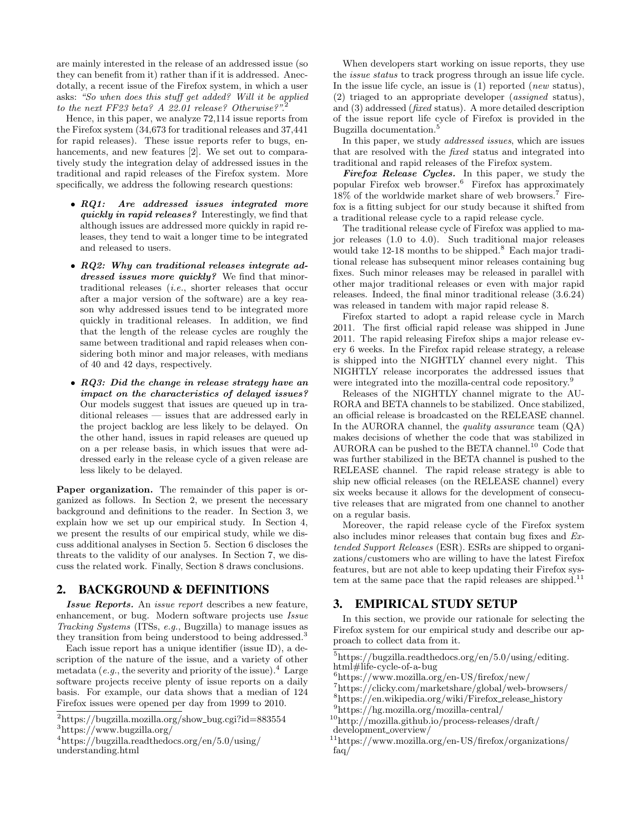are mainly interested in the release of an addressed issue (so they can benefit from it) rather than if it is addressed. Anecdotally, a recent issue of the Firefox system, in which a user asks: "So when does this stuff get added? Will it be applied to the next FF23 beta? A 22.01 release? Otherwise?".<sup>2</sup>

Hence, in this paper, we analyze 72,114 issue reports from the Firefox system (34,673 for traditional releases and 37,441 for rapid releases). These issue reports refer to bugs, enhancements, and new features [2]. We set out to comparatively study the integration delay of addressed issues in the traditional and rapid releases of the Firefox system. More specifically, we address the following research questions:

- RQ1: Are addressed issues integrated more quickly in rapid releases? Interestingly, we find that although issues are addressed more quickly in rapid releases, they tend to wait a longer time to be integrated and released to users.
- RQ2: Why can traditional releases integrate addressed issues more quickly? We find that minortraditional releases (i.e., shorter releases that occur after a major version of the software) are a key reason why addressed issues tend to be integrated more quickly in traditional releases. In addition, we find that the length of the release cycles are roughly the same between traditional and rapid releases when considering both minor and major releases, with medians of 40 and 42 days, respectively.
- RQ3: Did the change in release strategy have an impact on the characteristics of delayed issues? Our models suggest that issues are queued up in traditional releases — issues that are addressed early in the project backlog are less likely to be delayed. On the other hand, issues in rapid releases are queued up on a per release basis, in which issues that were addressed early in the release cycle of a given release are less likely to be delayed.

Paper organization. The remainder of this paper is organized as follows. In Section 2, we present the necessary background and definitions to the reader. In Section 3, we explain how we set up our empirical study. In Section 4, we present the results of our empirical study, while we discuss additional analyses in Section 5. Section 6 discloses the threats to the validity of our analyses. In Section 7, we discuss the related work. Finally, Section 8 draws conclusions.

## 2. BACKGROUND & DEFINITIONS

Issue Reports. An issue report describes a new feature, enhancement, or bug. Modern software projects use Issue Tracking Systems (ITSs, e.g., Bugzilla) to manage issues as they transition from being understood to being addressed.<sup>3</sup>

Each issue report has a unique identifier (issue ID), a description of the nature of the issue, and a variety of other metadata (e.g., the severity and priority of the issue).<sup>4</sup> Large software projects receive plenty of issue reports on a daily basis. For example, our data shows that a median of 124 Firefox issues were opened per day from 1999 to 2010.

When developers start working on issue reports, they use the issue status to track progress through an issue life cycle. In the issue life cycle, an issue is (1) reported (new status), (2) triaged to an appropriate developer (assigned status), and (3) addressed (fixed status). A more detailed description of the issue report life cycle of Firefox is provided in the Bugzilla documentation.<sup>5</sup>

In this paper, we study addressed issues, which are issues that are resolved with the fixed status and integrated into traditional and rapid releases of the Firefox system.

Firefox Release Cycles. In this paper, we study the popular Firefox web browser.<sup>6</sup> Firefox has approximately 18% of the worldwide market share of web browsers.<sup>7</sup> Firefox is a fitting subject for our study because it shifted from a traditional release cycle to a rapid release cycle.

The traditional release cycle of Firefox was applied to major releases (1.0 to 4.0). Such traditional major releases would take  $12-18$  months to be shipped.<sup>8</sup> Each major traditional release has subsequent minor releases containing bug fixes. Such minor releases may be released in parallel with other major traditional releases or even with major rapid releases. Indeed, the final minor traditional release (3.6.24) was released in tandem with major rapid release 8.

Firefox started to adopt a rapid release cycle in March 2011. The first official rapid release was shipped in June 2011. The rapid releasing Firefox ships a major release every 6 weeks. In the Firefox rapid release strategy, a release is shipped into the NIGHTLY channel every night. This NIGHTLY release incorporates the addressed issues that were integrated into the mozilla-central code repository.<sup>9</sup>

Releases of the NIGHTLY channel migrate to the AU-RORA and BETA channels to be stabilized. Once stabilized, an official release is broadcasted on the RELEASE channel. In the AURORA channel, the quality assurance team (QA) makes decisions of whether the code that was stabilized in AURORA can be pushed to the BETA channel.<sup>10</sup> Code that was further stabilized in the BETA channel is pushed to the RELEASE channel. The rapid release strategy is able to ship new official releases (on the RELEASE channel) every six weeks because it allows for the development of consecutive releases that are migrated from one channel to another on a regular basis.

Moreover, the rapid release cycle of the Firefox system also includes minor releases that contain bug fixes and Extended Support Releases (ESR). ESRs are shipped to organizations/customers who are willing to have the latest Firefox features, but are not able to keep updating their Firefox system at the same pace that the rapid releases are shipped.<sup>11</sup>

# 3. EMPIRICAL STUDY SETUP

In this section, we provide our rationale for selecting the Firefox system for our empirical study and describe our approach to collect data from it.

- $6$ https://www.mozilla.org/en-US/firefox/new/
- <sup>7</sup>https://clicky.com/marketshare/global/web-browsers/

 $^{2}$ https://bugzilla.mozilla.org/show\_bug.cgi?id=883554 <sup>3</sup>https://www.bugzilla.org/

<sup>4</sup>https://bugzilla.readthedocs.org/en/5.0/using/ understanding.html

<sup>5</sup>https://bugzilla.readthedocs.org/en/5.0/using/editing. html#life-cycle-of-a-bug

 $8$ https://en.wikipedia.org/wiki/Firefox\_release\_history

<sup>9</sup>https://hg.mozilla.org/mozilla-central/

 $^{10}$ http://mozilla.github.io/process-releases/draft/ development\_overview/

 $11\,\mathrm{https://www.mozilla.org/en-US/firefox/organizations/}$ faq/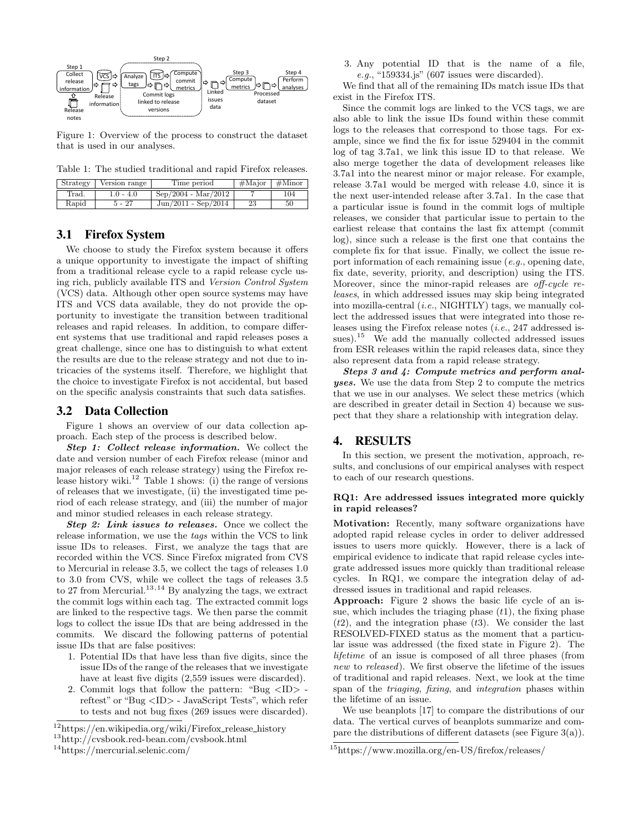

Figure 1: Overview of the process to construct the dataset that is used in our analyses.

Table 1: The studied traditional and rapid Firefox releases.

| Strategy | Version range | Time period                         | $\#\text{Major}$ | $\#\mathrm{Minor}$ |
|----------|---------------|-------------------------------------|------------------|--------------------|
| Trad.    | 1.0 - 4.0     | $\text{Sep}/2004 - \text{Mar}/2012$ |                  | 104                |
| Rapid    | $5 - 27$      | $Jun/2011 - Sep/2014$               | 23               | 50                 |

## 3.1 Firefox System

We choose to study the Firefox system because it offers a unique opportunity to investigate the impact of shifting from a traditional release cycle to a rapid release cycle using rich, publicly available ITS and Version Control System (VCS) data. Although other open source systems may have ITS and VCS data available, they do not provide the opportunity to investigate the transition between traditional releases and rapid releases. In addition, to compare different systems that use traditional and rapid releases poses a great challenge, since one has to distinguish to what extent the results are due to the release strategy and not due to intricacies of the systems itself. Therefore, we highlight that the choice to investigate Firefox is not accidental, but based on the specific analysis constraints that such data satisfies.

### 3.2 Data Collection

Figure 1 shows an overview of our data collection approach. Each step of the process is described below.

Step 1: Collect release information. We collect the date and version number of each Firefox release (minor and major releases of each release strategy) using the Firefox release history wiki.<sup>12</sup> Table 1 shows: (i) the range of versions of releases that we investigate, (ii) the investigated time period of each release strategy, and (iii) the number of major and minor studied releases in each release strategy.

Step 2: Link issues to releases. Once we collect the release information, we use the tags within the VCS to link issue IDs to releases. First, we analyze the tags that are recorded within the VCS. Since Firefox migrated from CVS to Mercurial in release 3.5, we collect the tags of releases 1.0 to 3.0 from CVS, while we collect the tags of releases 3.5 to  $27$  from Mercurial.<sup>13,14</sup> By analyzing the tags, we extract the commit logs within each tag. The extracted commit logs are linked to the respective tags. We then parse the commit logs to collect the issue IDs that are being addressed in the commits. We discard the following patterns of potential issue IDs that are false positives:

- 1. Potential IDs that have less than five digits, since the issue IDs of the range of the releases that we investigate have at least five digits  $(2,559)$  issues were discarded).
- 2. Commit logs that follow the pattern: "Bug <ID> reftest" or "Bug <ID> - JavaScript Tests", which refer to tests and not bug fixes (269 issues were discarded).

3. Any potential ID that is the name of a file, e.g., "159334.js" (607 issues were discarded).

We find that all of the remaining IDs match issue IDs that exist in the Firefox ITS.

Since the commit logs are linked to the VCS tags, we are also able to link the issue IDs found within these commit logs to the releases that correspond to those tags. For example, since we find the fix for issue 529404 in the commit log of tag 3.7a1, we link this issue ID to that release. We also merge together the data of development releases like 3.7a1 into the nearest minor or major release. For example, release 3.7a1 would be merged with release 4.0, since it is the next user-intended release after 3.7a1. In the case that a particular issue is found in the commit logs of multiple releases, we consider that particular issue to pertain to the earliest release that contains the last fix attempt (commit log), since such a release is the first one that contains the complete fix for that issue. Finally, we collect the issue report information of each remaining issue (e.g., opening date, fix date, severity, priority, and description) using the ITS. Moreover, since the minor-rapid releases are off-cycle releases, in which addressed issues may skip being integrated into mozilla-central (i.e., NIGHTLY) tags, we manually collect the addressed issues that were integrated into those releases using the Firefox release notes (i.e., 247 addressed issues).<sup>15</sup> We add the manually collected addressed issues from ESR releases within the rapid releases data, since they also represent data from a rapid release strategy.

Steps 3 and 4: Compute metrics and perform analyses. We use the data from Step 2 to compute the metrics that we use in our analyses. We select these metrics (which are described in greater detail in Section 4) because we suspect that they share a relationship with integration delay.

## 4. RESULTS

In this section, we present the motivation, approach, results, and conclusions of our empirical analyses with respect to each of our research questions.

#### RQ1: Are addressed issues integrated more quickly in rapid releases?

Motivation: Recently, many software organizations have adopted rapid release cycles in order to deliver addressed issues to users more quickly. However, there is a lack of empirical evidence to indicate that rapid release cycles integrate addressed issues more quickly than traditional release cycles. In RQ1, we compare the integration delay of addressed issues in traditional and rapid releases.

Approach: Figure 2 shows the basic life cycle of an issue, which includes the triaging phase  $(t1)$ , the fixing phase  $(t2)$ , and the integration phase  $(t3)$ . We consider the last RESOLVED-FIXED status as the moment that a particular issue was addressed (the fixed state in Figure 2). The lifetime of an issue is composed of all three phases (from new to released). We first observe the lifetime of the issues of traditional and rapid releases. Next, we look at the time span of the triaging, fixing, and integration phases within the lifetime of an issue.

We use beanplots [17] to compare the distributions of our data. The vertical curves of beanplots summarize and compare the distributions of different datasets (see Figure 3(a)).

 $12$ https://en.wikipedia.org/wiki/Firefox\_release\_history

<sup>13</sup>http://cvsbook.red-bean.com/cvsbook.html

<sup>14</sup>https://mercurial.selenic.com/

<sup>15</sup>https://www.mozilla.org/en-US/firefox/releases/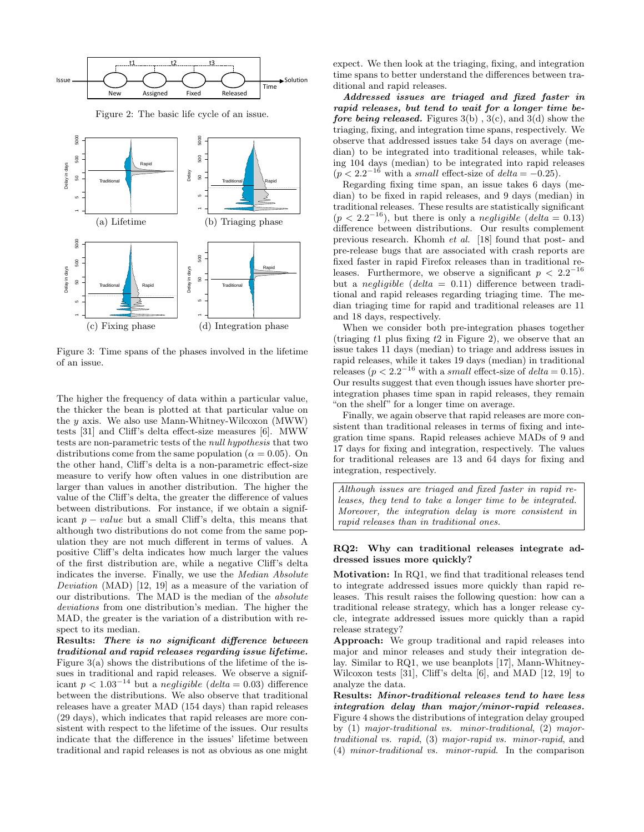

Figure 2: The basic life cycle of an issue.



Figure 3: Time spans of the phases involved in the lifetime of an issue.

The higher the frequency of data within a particular value, the thicker the bean is plotted at that particular value on the  $y$  axis. We also use Mann-Whitney-Wilcoxon (MWW) tests [31] and Cliff's delta effect-size measures [6]. MWW tests are non-parametric tests of the null hypothesis that two distributions come from the same population ( $\alpha = 0.05$ ). On the other hand, Cliff's delta is a non-parametric effect-size measure to verify how often values in one distribution are larger than values in another distribution. The higher the value of the Cliff's delta, the greater the difference of values between distributions. For instance, if we obtain a significant  $p-value$  but a small Cliff's delta, this means that although two distributions do not come from the same population they are not much different in terms of values. A positive Cliff's delta indicates how much larger the values of the first distribution are, while a negative Cliff's delta indicates the inverse. Finally, we use the Median Absolute Deviation (MAD) [12, 19] as a measure of the variation of our distributions. The MAD is the median of the absolute deviations from one distribution's median. The higher the MAD, the greater is the variation of a distribution with respect to its median.

Results: There is no significant difference between traditional and rapid releases regarding issue lifetime. Figure  $3(a)$  shows the distributions of the lifetime of the issues in traditional and rapid releases. We observe a significant  $p < 1.03^{-14}$  but a *negligible* (*delta* = 0.03) difference between the distributions. We also observe that traditional releases have a greater MAD (154 days) than rapid releases (29 days), which indicates that rapid releases are more consistent with respect to the lifetime of the issues. Our results indicate that the difference in the issues' lifetime between traditional and rapid releases is not as obvious as one might

expect. We then look at the triaging, fixing, and integration time spans to better understand the differences between traditional and rapid releases.

Addressed issues are triaged and fixed faster in rapid releases, but tend to wait for a longer time be*fore being released.* Figures  $3(b)$ ,  $3(c)$ , and  $3(d)$  show the triaging, fixing, and integration time spans, respectively. We observe that addressed issues take 54 days on average (median) to be integrated into traditional releases, while taking 104 days (median) to be integrated into rapid releases  $(p < 2.2^{-16}$  with a *small* effect-size of  $delta = -0.25$ .

Regarding fixing time span, an issue takes 6 days (median) to be fixed in rapid releases, and 9 days (median) in traditional releases. These results are statistically significant  $(p < 2.2^{-16})$ , but there is only a *negligible* (*delta* = 0.13) difference between distributions. Our results complement previous research. Khomh et al. [18] found that post- and pre-release bugs that are associated with crash reports are fixed faster in rapid Firefox releases than in traditional releases. Furthermore, we observe a significant  $p < 2.2^{-16}$ but a *negligible* (*delta* = 0.11) difference between traditional and rapid releases regarding triaging time. The median triaging time for rapid and traditional releases are 11 and 18 days, respectively.

When we consider both pre-integration phases together (triaging  $t_1$  plus fixing  $t_2$  in Figure 2), we observe that an issue takes 11 days (median) to triage and address issues in rapid releases, while it takes 19 days (median) in traditional releases ( $p < 2.2^{-16}$  with a *small* effect-size of  $delta = 0.15$ ). Our results suggest that even though issues have shorter preintegration phases time span in rapid releases, they remain "on the shelf" for a longer time on average.

Finally, we again observe that rapid releases are more consistent than traditional releases in terms of fixing and integration time spans. Rapid releases achieve MADs of 9 and 17 days for fixing and integration, respectively. The values for traditional releases are 13 and 64 days for fixing and integration, respectively.

Although issues are triaged and fixed faster in rapid releases, they tend to take a longer time to be integrated. Moreover, the integration delay is more consistent in rapid releases than in traditional ones.

#### RQ2: Why can traditional releases integrate addressed issues more quickly?

Motivation: In RQ1, we find that traditional releases tend to integrate addressed issues more quickly than rapid releases. This result raises the following question: how can a traditional release strategy, which has a longer release cycle, integrate addressed issues more quickly than a rapid release strategy?

Approach: We group traditional and rapid releases into major and minor releases and study their integration delay. Similar to RQ1, we use beanplots [17], Mann-Whitney-Wilcoxon tests [31], Cliff's delta [6], and MAD [12, 19] to analyze the data.

Results: Minor-traditional releases tend to have less integration delay than major/minor-rapid releases. Figure 4 shows the distributions of integration delay grouped by (1) major-traditional vs. minor-traditional, (2) majortraditional vs. rapid, (3) major-rapid vs. minor-rapid, and (4) minor-traditional vs. minor-rapid. In the comparison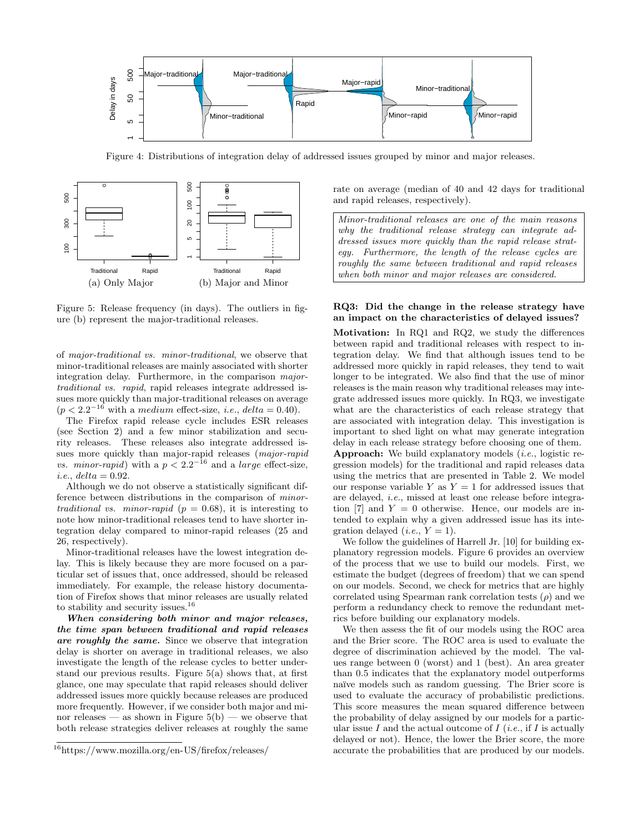

Figure 4: Distributions of integration delay of addressed issues grouped by minor and major releases.



Figure 5: Release frequency (in days). The outliers in figure (b) represent the major-traditional releases.

of major-traditional vs. minor-traditional, we observe that minor-traditional releases are mainly associated with shorter integration delay. Furthermore, in the comparison majortraditional vs. rapid, rapid releases integrate addressed issues more quickly than major-traditional releases on average  $(p < 2.2^{-16}$  with a medium effect-size, *i.e.*, delta = 0.40).

The Firefox rapid release cycle includes ESR releases (see Section 2) and a few minor stabilization and security releases. These releases also integrate addressed issues more quickly than major-rapid releases (major-rapid *vs. minor-rapid*) with a  $p < 2.2^{-16}$  and a *large* effect-size,  $i.e., delta = 0.92.$ 

Although we do not observe a statistically significant difference between distributions in the comparison of minortraditional vs. minor-rapid ( $p = 0.68$ ), it is interesting to note how minor-traditional releases tend to have shorter integration delay compared to minor-rapid releases (25 and 26, respectively).

Minor-traditional releases have the lowest integration delay. This is likely because they are more focused on a particular set of issues that, once addressed, should be released immediately. For example, the release history documentation of Firefox shows that minor releases are usually related to stability and security issues.<sup>16</sup>

When considering both minor and major releases, the time span between traditional and rapid releases are roughly the same. Since we observe that integration delay is shorter on average in traditional releases, we also investigate the length of the release cycles to better understand our previous results. Figure 5(a) shows that, at first glance, one may speculate that rapid releases should deliver addressed issues more quickly because releases are produced more frequently. However, if we consider both major and minor releases — as shown in Figure  $5(b)$  — we observe that both release strategies deliver releases at roughly the same

rate on average (median of 40 and 42 days for traditional and rapid releases, respectively).

Minor-traditional releases are one of the main reasons why the traditional release strategy can integrate addressed issues more quickly than the rapid release strategy. Furthermore, the length of the release cycles are roughly the same between traditional and rapid releases when both minor and major releases are considered.

#### RQ3: Did the change in the release strategy have an impact on the characteristics of delayed issues?

Motivation: In RQ1 and RQ2, we study the differences between rapid and traditional releases with respect to integration delay. We find that although issues tend to be addressed more quickly in rapid releases, they tend to wait longer to be integrated. We also find that the use of minor releases is the main reason why traditional releases may integrate addressed issues more quickly. In RQ3, we investigate what are the characteristics of each release strategy that are associated with integration delay. This investigation is important to shed light on what may generate integration delay in each release strategy before choosing one of them. **Approach:** We build explanatory models  $(i.e.,$  logistic regression models) for the traditional and rapid releases data using the metrics that are presented in Table 2. We model our response variable Y as  $Y = 1$  for addressed issues that are delayed, i.e., missed at least one release before integration  $|7|$  and  $Y = 0$  otherwise. Hence, our models are intended to explain why a given addressed issue has its integration delayed (*i.e.*,  $Y = 1$ ).

We follow the guidelines of Harrell Jr. [10] for building explanatory regression models. Figure 6 provides an overview of the process that we use to build our models. First, we estimate the budget (degrees of freedom) that we can spend on our models. Second, we check for metrics that are highly correlated using Spearman rank correlation tests  $(\rho)$  and we perform a redundancy check to remove the redundant metrics before building our explanatory models.

We then assess the fit of our models using the ROC area and the Brier score. The ROC area is used to evaluate the degree of discrimination achieved by the model. The values range between 0 (worst) and 1 (best). An area greater than 0.5 indicates that the explanatory model outperforms naïve models such as random guessing. The Brier score is used to evaluate the accuracy of probabilistic predictions. This score measures the mean squared difference between the probability of delay assigned by our models for a particular issue  $I$  and the actual outcome of  $I$  (*i.e.*, if  $I$  is actually delayed or not). Hence, the lower the Brier score, the more accurate the probabilities that are produced by our models.

<sup>16</sup>https://www.mozilla.org/en-US/firefox/releases/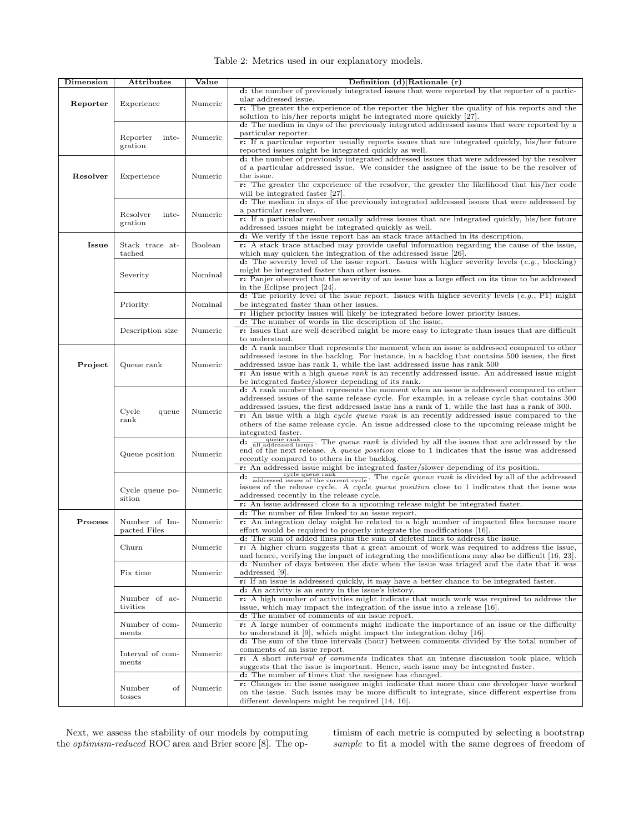| Table 2: Metrics used in our explanatory models. |  |  |  |  |
|--------------------------------------------------|--|--|--|--|
|                                                  |  |  |  |  |

| Dimension    | <b>Attributes</b>             | Value              | Definition $(d)$ Rationale $(r)$                                                                                                                                                                   |
|--------------|-------------------------------|--------------------|----------------------------------------------------------------------------------------------------------------------------------------------------------------------------------------------------|
|              | Experience                    | Numeric            | <b>d:</b> the number of previously integrated issues that were reported by the reporter of a partic-<br>ular addressed issue.                                                                      |
| Reporter     |                               |                    | r: The greater the experience of the reporter the higher the quality of his reports and the<br>solution to his/her reports might be integrated more quickly [27].                                  |
|              | Reporter<br>inte-<br>gration  | Numeric            | <b>d:</b> The median in days of the previously integrated addressed issues that were reported by a                                                                                                 |
|              |                               |                    | particular reporter.<br><b>r:</b> If a particular reporter usually reports issues that are integrated quickly, his/her future                                                                      |
|              |                               |                    | reported issues might be integrated quickly as well.                                                                                                                                               |
|              |                               | Numeric            | <b>d:</b> the number of previously integrated addressed issues that were addressed by the resolver<br>of a particular addressed issue. We consider the assignee of the issue to be the resolver of |
| Resolver     | Experience                    |                    | the issue.                                                                                                                                                                                         |
|              |                               |                    | <b>r:</b> The greater the experience of the resolver, the greater the likelihood that his/her code                                                                                                 |
|              | Resolver<br>inte-<br>gration  | Numeric            | will be integrated faster [27].<br><b>d:</b> The median in days of the previously integrated addressed issues that were addressed by                                                               |
|              |                               |                    | a particular resolver.                                                                                                                                                                             |
|              |                               |                    | r: If a particular resolver usually address issues that are integrated quickly, his/her future                                                                                                     |
|              |                               |                    | addressed issues might be integrated quickly as well.                                                                                                                                              |
| <b>Issue</b> | Stack trace at-<br>tached     | Boolean            | d: We verify if the issue report has an stack trace attached in its description.<br><b>r:</b> A stack trace attached may provide useful information regarding the cause of the issue,              |
|              |                               |                    | which may quicken the integration of the addressed issue [26].                                                                                                                                     |
|              |                               |                    | <b>d:</b> The severity level of the issue report. Issues with higher severity levels $(e.g.,)$ blocking)                                                                                           |
|              | Severity                      | Nominal            | might be integrated faster than other issues.<br><b>r:</b> Panjer observed that the severity of an issue has a large effect on its time to be addressed                                            |
|              |                               |                    | in the Eclipse project [24].                                                                                                                                                                       |
|              |                               | Nominal<br>Numeric | <b>d:</b> The priority level of the issue report. Issues with higher severity levels $(e,q, P1)$ might                                                                                             |
|              | Priority                      |                    | be integrated faster than other issues.<br>r: Higher priority issues will likely be integrated before lower priority issues.                                                                       |
|              |                               |                    | d: The number of words in the description of the issue.                                                                                                                                            |
|              | Description size              |                    | r: Issues that are well described might be more easy to integrate than issues that are difficult                                                                                                   |
|              |                               |                    | to understand.<br><b>d:</b> A rank number that represents the moment when an issue is addressed compared to other                                                                                  |
|              | Queue rank                    |                    | addressed issues in the backlog. For instance, in a backlog that contains 500 issues, the first                                                                                                    |
| Project      |                               | Numeric            | addressed issue has rank 1, while the last addressed issue has rank 500                                                                                                                            |
|              |                               |                    | <b>r:</b> An issue with a high queue rank is an recently addressed issue. An addressed issue might                                                                                                 |
|              |                               |                    | be integrated faster/slower depending of its rank.<br><b>d:</b> A rank number that represents the moment when an issue is addressed compared to other                                              |
|              | Cycle<br>queue<br>rank        |                    | addressed issues of the same release cycle. For example, in a release cycle that contains 300                                                                                                      |
|              |                               | Numeric            | addressed issues, the first addressed issue has a rank of 1, while the last has a rank of 300.                                                                                                     |
|              |                               |                    | <b>r:</b> An issue with a high cycle queue rank is an recently addressed issue compared to the<br>others of the same release cycle. An issue addressed close to the upcoming release might be      |
|              |                               |                    | integrated faster.                                                                                                                                                                                 |
|              | Queue position                |                    | queue rank. The queue rank is divided by all the issues that are addressed by the                                                                                                                  |
|              |                               | Numeric            | end of the next release. A queue position close to 1 indicates that the issue was addressed<br>recently compared to others in the backlog.                                                         |
|              |                               |                    | <b>r:</b> An addressed issue might be integrated faster/slower depending of its position.                                                                                                          |
|              | Cycle queue po-               | Numeric            | addressed issues of the current cycle. The cycle queue rank is divided by all of the addressed<br>$\mathbf{d}$ :                                                                                   |
|              |                               |                    | issues of the release cycle. A cycle queue position close to 1 indicates that the issue was<br>addressed recently in the release cycle.                                                            |
|              | sition                        |                    | <b>r:</b> An issue addressed close to a upcoming release might be integrated faster.                                                                                                               |
|              |                               |                    | <b>d:</b> The number of files linked to an issue report.                                                                                                                                           |
| Process      | Number of Im-<br>pacted Files | Numeric            | <b>r:</b> An integration delay might be related to a high number of impacted files because more                                                                                                    |
|              |                               |                    | effort would be required to properly integrate the modifications [16].<br>d: The sum of added lines plus the sum of deleted lines to address the issue.                                            |
|              | Churn                         | Numeric            | r: A higher churn suggests that a great amount of work was required to address the issue,                                                                                                          |
|              |                               |                    | and hence, verifying the impact of integrating the modifications may also be difficult $[16, 23]$ .<br>d: Number of days between the date when the issue was triaged and the date that it was      |
|              | Fix time                      | Numeric            | addressed [9].                                                                                                                                                                                     |
|              |                               |                    | <b>r:</b> If an issue is addressed quickly, it may have a better chance to be integrated faster.                                                                                                   |
|              | Number of ac-<br>tivities     | Numeric            | d: An activity is an entry in the issue's history.<br><b>r</b> : A high number of activities might indicate that much work was required to address the                                             |
|              |                               |                    | issue, which may impact the integration of the issue into a release [16].                                                                                                                          |
|              | Number of com-<br>ments       | Numeric            | d: The number of comments of an issue report.                                                                                                                                                      |
|              |                               |                    | <b>r:</b> A large number of comments might indicate the importance of an issue or the difficulty                                                                                                   |
|              |                               |                    | to understand it [9], which might impact the integration delay [16].<br><b>d:</b> The sum of the time intervals (hour) between comments divided by the total number of                             |
|              | Interval of com-<br>ments     | Numeric            | comments of an issue report.                                                                                                                                                                       |
|              |                               |                    | <b>r:</b> A short <i>interval of comments</i> indicates that an intense discussion took place, which                                                                                               |
|              |                               |                    | suggests that the issue is important. Hence, such issue may be integrated faster.<br><b>d:</b> The number of times that the assignee has changed.                                                  |
|              | Number<br>of                  | Numeric            | r: Changes in the issue assignee might indicate that more than one developer have worked                                                                                                           |
|              | tosses                        |                    | on the issue. Such issues may be more difficult to integrate, since different expertise from<br>different developers might be required $[14, 16]$ .                                                |
|              |                               |                    |                                                                                                                                                                                                    |

Next, we assess the stability of our models by computing the optimism-reduced ROC area and Brier score [8]. The optimism of each metric is computed by selecting a bootstrap sample to fit a model with the same degrees of freedom of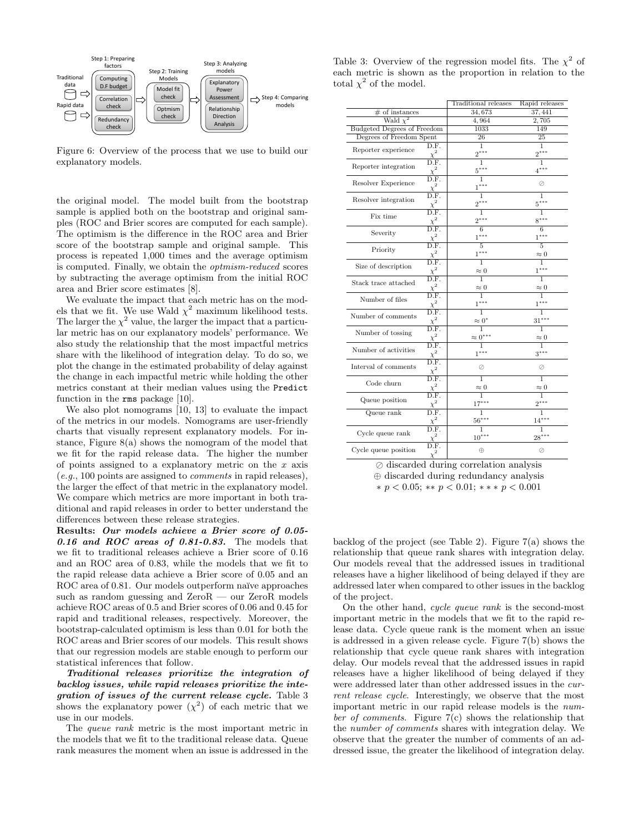

Figure 6: Overview of the process that we use to build our explanatory models.

the original model. The model built from the bootstrap sample is applied both on the bootstrap and original samples (ROC and Brier scores are computed for each sample). The optimism is the difference in the ROC area and Brier score of the bootstrap sample and original sample. This process is repeated 1,000 times and the average optimism is computed. Finally, we obtain the optmism-reduced scores by subtracting the average optimism from the initial ROC area and Brier score estimates [8].

We evaluate the impact that each metric has on the models that we fit. We use Wald  $\chi^2$  maximum likelihood tests. The larger the  $\chi^2$  value, the larger the impact that a particular metric has on our explanatory models' performance. We also study the relationship that the most impactful metrics share with the likelihood of integration delay. To do so, we plot the change in the estimated probability of delay against the change in each impactful metric while holding the other metrics constant at their median values using the Predict function in the rms package [10].

We also plot nomograms [10, 13] to evaluate the impact of the metrics in our models. Nomograms are user-friendly charts that visually represent explanatory models. For instance, Figure 8(a) shows the nomogram of the model that we fit for the rapid release data. The higher the number of points assigned to a explanatory metric on the  $x$  axis (e.g., 100 points are assigned to comments in rapid releases), the larger the effect of that metric in the explanatory model. We compare which metrics are more important in both traditional and rapid releases in order to better understand the differences between these release strategies.

Results: Our models achieve a Brier score of 0.05- 0.16 and ROC areas of 0.81-0.83. The models that we fit to traditional releases achieve a Brier score of 0.16 and an ROC area of 0.83, while the models that we fit to the rapid release data achieve a Brier score of 0.05 and an ROC area of 0.81. Our models outperform naïve approaches such as random guessing and  $\text{ZeroR}$  — our  $\text{ZeroR}$  models achieve ROC areas of 0.5 and Brier scores of 0.06 and 0.45 for rapid and traditional releases, respectively. Moreover, the bootstrap-calculated optimism is less than 0.01 for both the ROC areas and Brier scores of our models. This result shows that our regression models are stable enough to perform our statistical inferences that follow.

Traditional releases prioritize the integration of backlog issues, while rapid releases prioritize the integration of issues of the current release cycle. Table 3 shows the explanatory power  $(\chi^2)$  of each metric that we use in our models.

The queue rank metric is the most important metric in the models that we fit to the traditional release data. Queue rank measures the moment when an issue is addressed in the

Table 3: Overview of the regression model fits. The  $\chi^2$  of each metric is shown as the proportion in relation to the total  $\chi^2$  of the model.

|                                    |                              | Traditional releases | Rapid releases |
|------------------------------------|------------------------------|----------------------|----------------|
| # of instances                     |                              | 34,673               | 37, 441        |
| Wald $\chi^2$                      |                              | 4,964                | 2,705          |
| <b>Budgeted Degrees of Freedom</b> |                              | 1033                 | 149            |
| Degrees of Freedom Spent           |                              | 26                   | 25             |
|                                    | D.F.                         | 1                    | 1              |
| Reporter experience                | $\chi^2$                     | $2***$               | $2***$         |
|                                    | D.F.                         | $\overline{1}$       | $\overline{1}$ |
| Reporter integration               | $\frac{\chi^2}{\text{D.F.}}$ | $5***$               | $4***$         |
|                                    |                              | 1                    |                |
| Resolver Experience                | $\chi^2$                     | $1***$               | Ø              |
| Resolver integration               | D.F.                         | 1                    | 1              |
|                                    | $\chi^2$                     | $2***$               | $5***$         |
| Fix time                           | D.F.                         | 1                    | 1              |
|                                    | $\chi^2$                     | $2***$               | $8***$         |
| Severity                           | D.F.                         | $\overline{6}$       | $\overline{6}$ |
|                                    | $\frac{\chi^2}{\text{D.F.}}$ | $1***$               | $1***$         |
| Priority                           |                              | 5                    | 5              |
|                                    | $\frac{\chi^2}{\text{D.F.}}$ | $1***$               | $\approx 0$    |
| Size of description                |                              | $\mathbf{1}$         | $\mathbf{1}$   |
|                                    | $\chi^2$                     | $\approx 0$          | $1***$         |
| Stack trace attached               | D.F.                         | $\overline{1}$       | $\overline{1}$ |
|                                    | $\frac{\chi^2}{\text{D.F.}}$ | $\approx 0$          | $\approx 0$    |
| Number of files                    |                              | ī                    | 1              |
|                                    | $\frac{\chi^2}{\text{D.F.}}$ | $1***$               | $1***$         |
| Number of comments                 |                              | $\mathbf{1}$         | 1              |
|                                    | $\chi^2$                     | $\approx 0^*$        | $31***$        |
| Number of tossing                  | $\overline{D.F.}$            | 1                    | 1              |
|                                    | $\chi^2$                     | $\approx 0***$       | $\approx 0$    |
| Number of activities               | D.F.                         | 1                    | 1              |
|                                    | $\chi^2$<br>D.F.             | $1***$               | $3***$         |
| Interval of comments               |                              | Ø                    | Ø              |
|                                    | $\chi^2$                     |                      |                |
| Code churn                         | $\overline{\mathrm{D.F.}}$   | $\overline{1}$       | $\overline{1}$ |
|                                    | $\chi^2$                     | $\approx 0$          | $\approx 0$    |
| Queue position                     | D.F.                         | $\mathbf{1}$         | 1              |
|                                    | $\frac{\chi^2}{\text{D.F.}}$ | $17***$              | $2***$         |
| Queue rank                         |                              | 1                    | 1              |
|                                    | $\frac{\chi^2}{\text{D.F.}}$ | $56***$              | $14***$        |
| Cycle queue rank                   |                              | 1                    | 1              |
|                                    | $\chi^2$                     | $10***$              | $28***$        |
| Cycle queue position               | D.F.                         | ⊕                    | Ø              |
|                                    | $\chi^2$                     |                      |                |

 $\oslash$  discarded during correlation analysis ⊕ discarded during redundancy analysis ∗ p < 0.05; ∗∗ p < 0.01; ∗ ∗ ∗ p < 0.001

backlog of the project (see Table 2). Figure 7(a) shows the relationship that queue rank shares with integration delay. Our models reveal that the addressed issues in traditional releases have a higher likelihood of being delayed if they are addressed later when compared to other issues in the backlog of the project.

On the other hand, cycle queue rank is the second-most important metric in the models that we fit to the rapid release data. Cycle queue rank is the moment when an issue is addressed in a given release cycle. Figure 7(b) shows the relationship that cycle queue rank shares with integration delay. Our models reveal that the addressed issues in rapid releases have a higher likelihood of being delayed if they were addressed later than other addressed issues in the current release cycle. Interestingly, we observe that the most important metric in our rapid release models is the number of comments. Figure 7(c) shows the relationship that the number of comments shares with integration delay. We observe that the greater the number of comments of an addressed issue, the greater the likelihood of integration delay.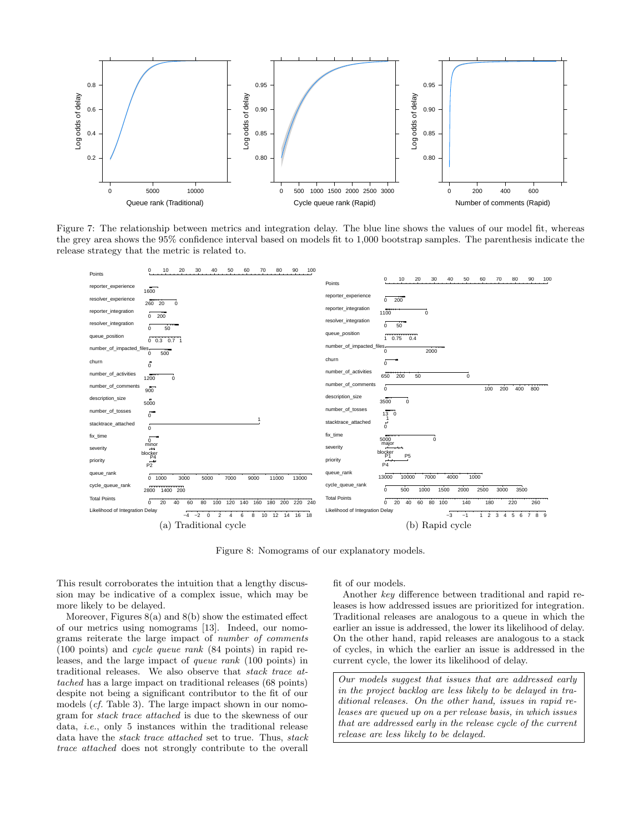

Figure 7: The relationship between metrics and integration delay. The blue line shows the values of our model fit, whereas the grey area shows the 95% confidence interval based on models fit to 1,000 bootstrap samples. The parenthesis indicate the release strategy that the metric is related to.



Figure 8: Nomograms of our explanatory models.

This result corroborates the intuition that a lengthy discussion may be indicative of a complex issue, which may be more likely to be delayed.

Moreover, Figures 8(a) and 8(b) show the estimated effect of our metrics using nomograms [13]. Indeed, our nomograms reiterate the large impact of number of comments (100 points) and cycle queue rank (84 points) in rapid releases, and the large impact of queue rank (100 points) in traditional releases. We also observe that stack trace attached has a large impact on traditional releases (68 points) despite not being a significant contributor to the fit of our models (cf. Table 3). The large impact shown in our nomogram for stack trace attached is due to the skewness of our data, i.e., only 5 instances within the traditional release data have the stack trace attached set to true. Thus, stack trace attached does not strongly contribute to the overall

fit of our models.

Another key difference between traditional and rapid releases is how addressed issues are prioritized for integration. Traditional releases are analogous to a queue in which the earlier an issue is addressed, the lower its likelihood of delay. On the other hand, rapid releases are analogous to a stack of cycles, in which the earlier an issue is addressed in the current cycle, the lower its likelihood of delay.

Our models suggest that issues that are addressed early in the project backlog are less likely to be delayed in traditional releases. On the other hand, issues in rapid releases are queued up on a per release basis, in which issues that are addressed early in the release cycle of the current release are less likely to be delayed.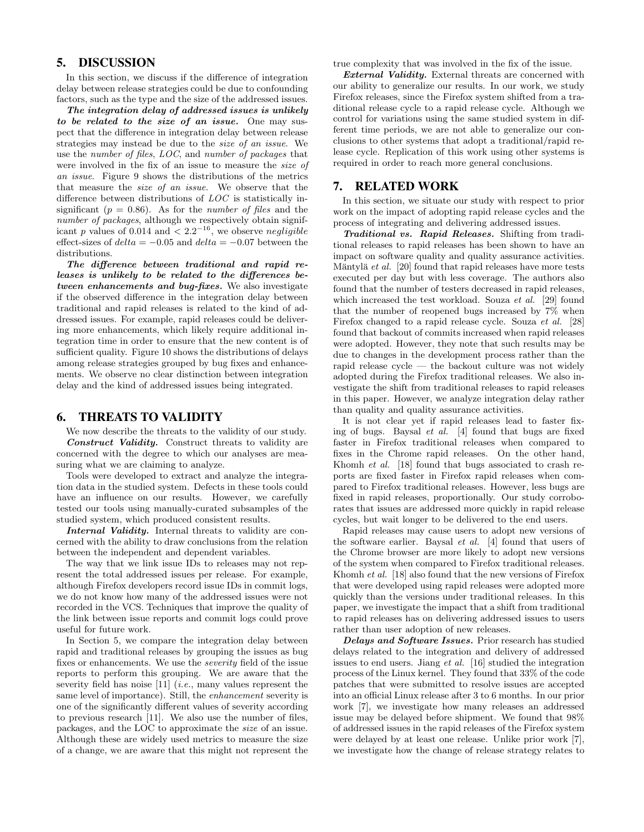## 5. DISCUSSION

In this section, we discuss if the difference of integration delay between release strategies could be due to confounding factors, such as the type and the size of the addressed issues.

The integration delay of addressed issues is unlikely to be related to the size of an issue. One may suspect that the difference in integration delay between release strategies may instead be due to the size of an issue. We use the number of files, LOC, and number of packages that were involved in the fix of an issue to measure the size of an issue. Figure 9 shows the distributions of the metrics that measure the size of an issue. We observe that the difference between distributions of LOC is statistically insignificant ( $p = 0.86$ ). As for the *number of files* and the number of packages, although we respectively obtain significant p values of 0.014 and  $\langle 2.2^{-16}$ , we observe negligible effect-sizes of  $delta = -0.05$  and  $delta = -0.07$  between the distributions.

The difference between traditional and rapid releases is unlikely to be related to the differences between enhancements and bug-fixes. We also investigate if the observed difference in the integration delay between traditional and rapid releases is related to the kind of addressed issues. For example, rapid releases could be delivering more enhancements, which likely require additional integration time in order to ensure that the new content is of sufficient quality. Figure 10 shows the distributions of delays among release strategies grouped by bug fixes and enhancements. We observe no clear distinction between integration delay and the kind of addressed issues being integrated.

## 6. THREATS TO VALIDITY

We now describe the threats to the validity of our study. Construct Validity. Construct threats to validity are concerned with the degree to which our analyses are measuring what we are claiming to analyze.

Tools were developed to extract and analyze the integration data in the studied system. Defects in these tools could have an influence on our results. However, we carefully tested our tools using manually-curated subsamples of the studied system, which produced consistent results.

Internal Validity. Internal threats to validity are concerned with the ability to draw conclusions from the relation between the independent and dependent variables.

The way that we link issue IDs to releases may not represent the total addressed issues per release. For example, although Firefox developers record issue IDs in commit logs, we do not know how many of the addressed issues were not recorded in the VCS. Techniques that improve the quality of the link between issue reports and commit logs could prove useful for future work.

In Section 5, we compare the integration delay between rapid and traditional releases by grouping the issues as bug fixes or enhancements. We use the severity field of the issue reports to perform this grouping. We are aware that the severity field has noise [11]  $(i.e.,$  many values represent the same level of importance). Still, the enhancement severity is one of the significantly different values of severity according to previous research [11]. We also use the number of files, packages, and the LOC to approximate the size of an issue. Although these are widely used metrics to measure the size of a change, we are aware that this might not represent the true complexity that was involved in the fix of the issue.

**External Validity.** External threats are concerned with our ability to generalize our results. In our work, we study Firefox releases, since the Firefox system shifted from a traditional release cycle to a rapid release cycle. Although we control for variations using the same studied system in different time periods, we are not able to generalize our conclusions to other systems that adopt a traditional/rapid release cycle. Replication of this work using other systems is required in order to reach more general conclusions.

## 7. RELATED WORK

In this section, we situate our study with respect to prior work on the impact of adopting rapid release cycles and the process of integrating and delivering addressed issues.

Traditional vs. Rapid Releases. Shifting from traditional releases to rapid releases has been shown to have an impact on software quality and quality assurance activities. Mäntylä et al.  $[20]$  found that rapid releases have more tests executed per day but with less coverage. The authors also found that the number of testers decreased in rapid releases, which increased the test workload. Souza et al. [29] found that the number of reopened bugs increased by 7% when Firefox changed to a rapid release cycle. Souza et al. [28] found that backout of commits increased when rapid releases were adopted. However, they note that such results may be due to changes in the development process rather than the rapid release cycle — the backout culture was not widely adopted during the Firefox traditional releases. We also investigate the shift from traditional releases to rapid releases in this paper. However, we analyze integration delay rather than quality and quality assurance activities.

It is not clear yet if rapid releases lead to faster fixing of bugs. Baysal et al. [4] found that bugs are fixed faster in Firefox traditional releases when compared to fixes in the Chrome rapid releases. On the other hand, Khomh et al. [18] found that bugs associated to crash reports are fixed faster in Firefox rapid releases when compared to Firefox traditional releases. However, less bugs are fixed in rapid releases, proportionally. Our study corroborates that issues are addressed more quickly in rapid release cycles, but wait longer to be delivered to the end users.

Rapid releases may cause users to adopt new versions of the software earlier. Baysal et al. [4] found that users of the Chrome browser are more likely to adopt new versions of the system when compared to Firefox traditional releases. Khomh et al. [18] also found that the new versions of Firefox that were developed using rapid releases were adopted more quickly than the versions under traditional releases. In this paper, we investigate the impact that a shift from traditional to rapid releases has on delivering addressed issues to users rather than user adoption of new releases.

Delays and Software Issues. Prior research has studied delays related to the integration and delivery of addressed issues to end users. Jiang et al. [16] studied the integration process of the Linux kernel. They found that 33% of the code patches that were submitted to resolve issues are accepted into an official Linux release after 3 to 6 months. In our prior work [7], we investigate how many releases an addressed issue may be delayed before shipment. We found that 98% of addressed issues in the rapid releases of the Firefox system were delayed by at least one release. Unlike prior work [7], we investigate how the change of release strategy relates to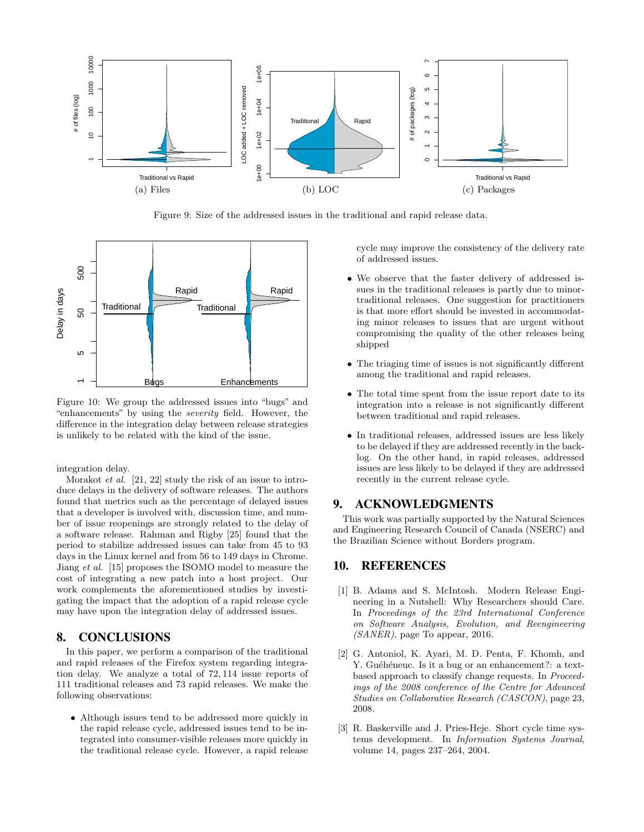

Figure 9: Size of the addressed issues in the traditional and rapid release data.



Figure 10: We group the addressed issues into "bugs" and "enhancements" by using the severity field. However, the difference in the integration delay between release strategies is unlikely to be related with the kind of the issue.

integration delay.

Morakot et al. [21, 22] study the risk of an issue to introduce delays in the delivery of software releases. The authors found that metrics such as the percentage of delayed issues that a developer is involved with, discussion time, and number of issue reopenings are strongly related to the delay of a software release. Rahman and Rigby [25] found that the period to stabilize addressed issues can take from 45 to 93 days in the Linux kernel and from 56 to 149 days in Chrome. Jiang et al. [15] proposes the ISOMO model to measure the cost of integrating a new patch into a host project. Our work complements the aforementioned studies by investigating the impact that the adoption of a rapid release cycle may have upon the integration delay of addressed issues.

## 8. CONCLUSIONS

In this paper, we perform a comparison of the traditional and rapid releases of the Firefox system regarding integration delay. We analyze a total of 72, 114 issue reports of 111 traditional releases and 73 rapid releases. We make the following observations:

• Although issues tend to be addressed more quickly in the rapid release cycle, addressed issues tend to be integrated into consumer-visible releases more quickly in the traditional release cycle. However, a rapid release cycle may improve the consistency of the delivery rate of addressed issues.

- We observe that the faster delivery of addressed issues in the traditional releases is partly due to minortraditional releases. One suggestion for practitioners is that more effort should be invested in accommodating minor releases to issues that are urgent without compromising the quality of the other releases being shipped
- The triaging time of issues is not significantly different among the traditional and rapid releases.
- The total time spent from the issue report date to its integration into a release is not significantly different between traditional and rapid releases.
- In traditional releases, addressed issues are less likely to be delayed if they are addressed recently in the backlog. On the other hand, in rapid releases, addressed issues are less likely to be delayed if they are addressed recently in the current release cycle.

## 9. ACKNOWLEDGMENTS

This work was partially supported by the Natural Sciences and Engineering Research Council of Canada (NSERC) and the Brazilian Science without Borders program.

## 10. REFERENCES

- [1] B. Adams and S. McIntosh. Modern Release Engineering in a Nutshell: Why Researchers should Care. In Proceedings of the 23rd International Conference on Software Analysis, Evolution, and Reengineering  $(SANER)$ , page To appear, 2016.
- [2] G. Antoniol, K. Ayari, M. D. Penta, F. Khomh, and Y. Guéhéneuc. Is it a bug or an enhancement?: a textbased approach to classify change requests. In Proceedings of the 2008 conference of the Centre for Advanced Studies on Collaborative Research (CASCON), page 23, 2008.
- [3] R. Baskerville and J. Pries-Heje. Short cycle time systems development. In Information Systems Journal, volume 14, pages 237–264, 2004.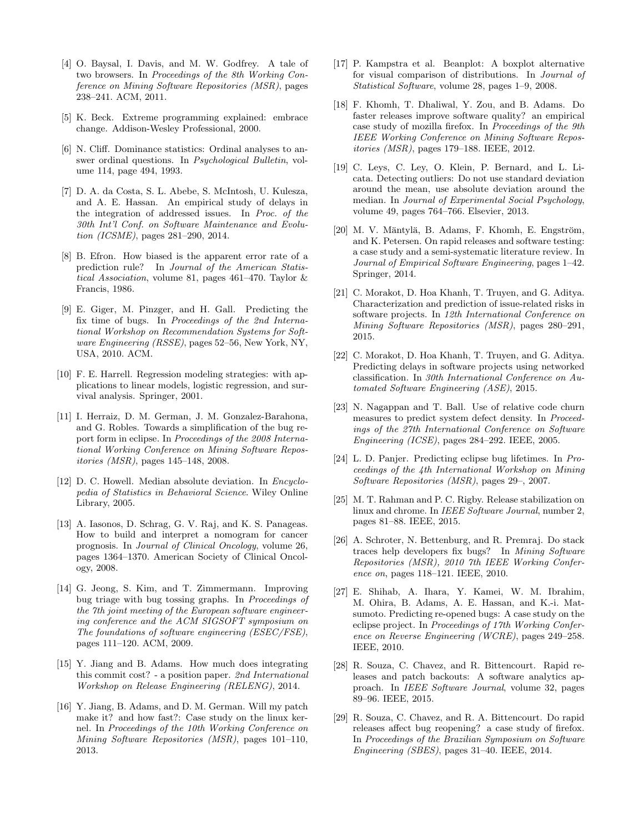- [4] O. Baysal, I. Davis, and M. W. Godfrey. A tale of two browsers. In Proceedings of the 8th Working Conference on Mining Software Repositories (MSR), pages 238–241. ACM, 2011.
- [5] K. Beck. Extreme programming explained: embrace change. Addison-Wesley Professional, 2000.
- [6] N. Cliff. Dominance statistics: Ordinal analyses to answer ordinal questions. In Psychological Bulletin, volume 114, page 494, 1993.
- [7] D. A. da Costa, S. L. Abebe, S. McIntosh, U. Kulesza, and A. E. Hassan. An empirical study of delays in the integration of addressed issues. In Proc. of the 30th Int'l Conf. on Software Maintenance and Evolution (ICSME), pages 281–290, 2014.
- [8] B. Efron. How biased is the apparent error rate of a prediction rule? In Journal of the American Statistical Association, volume 81, pages 461–470. Taylor & Francis, 1986.
- [9] E. Giger, M. Pinzger, and H. Gall. Predicting the fix time of bugs. In Proceedings of the 2nd International Workshop on Recommendation Systems for Software Engineering (RSSE), pages 52–56, New York, NY, USA, 2010. ACM.
- [10] F. E. Harrell. Regression modeling strategies: with applications to linear models, logistic regression, and survival analysis. Springer, 2001.
- [11] I. Herraiz, D. M. German, J. M. Gonzalez-Barahona, and G. Robles. Towards a simplification of the bug report form in eclipse. In Proceedings of the 2008 International Working Conference on Mining Software Repositories (MSR), pages 145–148, 2008.
- [12] D. C. Howell. Median absolute deviation. In Encyclopedia of Statistics in Behavioral Science. Wiley Online Library, 2005.
- [13] A. Iasonos, D. Schrag, G. V. Raj, and K. S. Panageas. How to build and interpret a nomogram for cancer prognosis. In Journal of Clinical Oncology, volume 26, pages 1364–1370. American Society of Clinical Oncology, 2008.
- [14] G. Jeong, S. Kim, and T. Zimmermann. Improving bug triage with bug tossing graphs. In Proceedings of the 7th joint meeting of the European software engineering conference and the ACM SIGSOFT symposium on The foundations of software engineering (ESEC/FSE), pages 111–120. ACM, 2009.
- [15] Y. Jiang and B. Adams. How much does integrating this commit cost? - a position paper. 2nd International Workshop on Release Engineering (RELENG), 2014.
- [16] Y. Jiang, B. Adams, and D. M. German. Will my patch make it? and how fast?: Case study on the linux kernel. In Proceedings of the 10th Working Conference on Mining Software Repositories (MSR), pages 101–110, 2013.
- [17] P. Kampstra et al. Beanplot: A boxplot alternative for visual comparison of distributions. In Journal of Statistical Software, volume 28, pages 1–9, 2008.
- [18] F. Khomh, T. Dhaliwal, Y. Zou, and B. Adams. Do faster releases improve software quality? an empirical case study of mozilla firefox. In Proceedings of the 9th IEEE Working Conference on Mining Software Repositories (MSR), pages 179–188. IEEE, 2012.
- [19] C. Leys, C. Ley, O. Klein, P. Bernard, and L. Licata. Detecting outliers: Do not use standard deviation around the mean, use absolute deviation around the median. In Journal of Experimental Social Psychology, volume 49, pages 764–766. Elsevier, 2013.
- [20] M. V. Mäntylä, B. Adams, F. Khomh, E. Engström, and K. Petersen. On rapid releases and software testing: a case study and a semi-systematic literature review. In Journal of Empirical Software Engineering, pages 1–42. Springer, 2014.
- [21] C. Morakot, D. Hoa Khanh, T. Truyen, and G. Aditya. Characterization and prediction of issue-related risks in software projects. In 12th International Conference on Mining Software Repositories (MSR), pages 280–291, 2015.
- [22] C. Morakot, D. Hoa Khanh, T. Truyen, and G. Aditya. Predicting delays in software projects using networked classification. In 30th International Conference on Automated Software Engineering (ASE), 2015.
- [23] N. Nagappan and T. Ball. Use of relative code churn measures to predict system defect density. In Proceedings of the 27th International Conference on Software Engineering (ICSE), pages 284–292. IEEE, 2005.
- [24] L. D. Panjer. Predicting eclipse bug lifetimes. In Proceedings of the 4th International Workshop on Mining Software Repositories (MSR), pages 29–, 2007.
- [25] M. T. Rahman and P. C. Rigby. Release stabilization on linux and chrome. In IEEE Software Journal, number 2, pages 81–88. IEEE, 2015.
- [26] A. Schroter, N. Bettenburg, and R. Premraj. Do stack traces help developers fix bugs? In Mining Software Repositories (MSR), 2010 7th IEEE Working Conference on, pages 118–121. IEEE, 2010.
- [27] E. Shihab, A. Ihara, Y. Kamei, W. M. Ibrahim, M. Ohira, B. Adams, A. E. Hassan, and K.-i. Matsumoto. Predicting re-opened bugs: A case study on the eclipse project. In Proceedings of 17th Working Conference on Reverse Engineering (WCRE), pages 249–258. IEEE, 2010.
- [28] R. Souza, C. Chavez, and R. Bittencourt. Rapid releases and patch backouts: A software analytics approach. In IEEE Software Journal, volume 32, pages 89–96. IEEE, 2015.
- [29] R. Souza, C. Chavez, and R. A. Bittencourt. Do rapid releases affect bug reopening? a case study of firefox. In Proceedings of the Brazilian Symposium on Software Engineering (SBES), pages 31–40. IEEE, 2014.